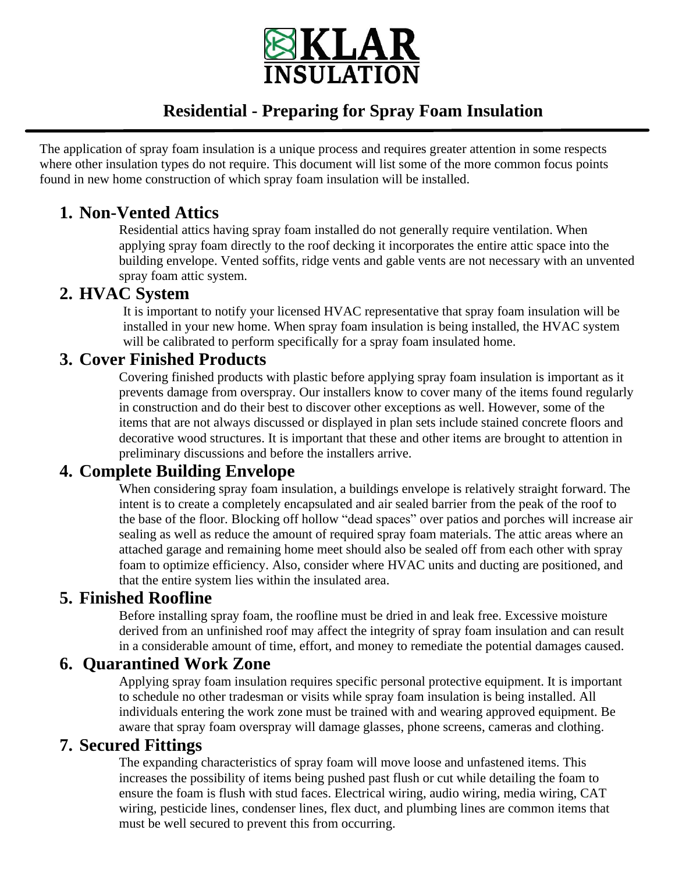

# **Residential - Preparing for Spray Foam Insulation**

The application of spray foam insulation is a unique process and requires greater attention in some respects where other insulation types do not require. This document will list some of the more common focus points found in new home construction of which spray foam insulation will be installed.

## **1. Non-Vented Attics**

Residential attics having spray foam installed do not generally require ventilation. When applying spray foam directly to the roof decking it incorporates the entire attic space into the building envelope. Vented soffits, ridge vents and gable vents are not necessary with an unvented spray foam attic system.

## **2. HVAC System**

It is important to notify your licensed HVAC representative that spray foam insulation will be installed in your new home. When spray foam insulation is being installed, the HVAC system will be calibrated to perform specifically for a spray foam insulated home.

#### **3. Cover Finished Products**

Covering finished products with plastic before applying spray foam insulation is important as it prevents damage from overspray. Our installers know to cover many of the items found regularly in construction and do their best to discover other exceptions as well. However, some of the items that are not always discussed or displayed in plan sets include stained concrete floors and decorative wood structures. It is important that these and other items are brought to attention in preliminary discussions and before the installers arrive.

## **4. Complete Building Envelope**

When considering spray foam insulation, a buildings envelope is relatively straight forward. The intent is to create a completely encapsulated and air sealed barrier from the peak of the roof to the base of the floor. Blocking off hollow "dead spaces" over patios and porches will increase air sealing as well as reduce the amount of required spray foam materials. The attic areas where an attached garage and remaining home meet should also be sealed off from each other with spray foam to optimize efficiency. Also, consider where HVAC units and ducting are positioned, and that the entire system lies within the insulated area.

#### **5. Finished Roofline**

Before installing spray foam, the roofline must be dried in and leak free. Excessive moisture derived from an unfinished roof may affect the integrity of spray foam insulation and can result in a considerable amount of time, effort, and money to remediate the potential damages caused.

## **6. Quarantined Work Zone**

Applying spray foam insulation requires specific personal protective equipment. It is important to schedule no other tradesman or visits while spray foam insulation is being installed. All individuals entering the work zone must be trained with and wearing approved equipment. Be aware that spray foam overspray will damage glasses, phone screens, cameras and clothing.

## **7. Secured Fittings**

The expanding characteristics of spray foam will move loose and unfastened items. This increases the possibility of items being pushed past flush or cut while detailing the foam to ensure the foam is flush with stud faces. Electrical wiring, audio wiring, media wiring, CAT wiring, pesticide lines, condenser lines, flex duct, and plumbing lines are common items that must be well secured to prevent this from occurring.